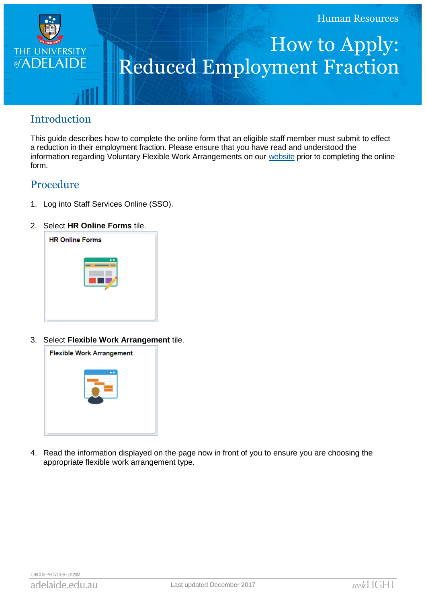

# How to Apply: Reduced Employment Fraction

## Introduction

This guide describes how to complete the online form that an eligible staff member must submit to effect a reduction in their employment fraction. Please ensure that you have read and understood the information regarding Voluntary Flexible Work Arrangements on our [website](http://www.adelaide.edu.au/hr/systems/sso/vfwa) prior to completing the online form.

### Procedure

- 1. Log into Staff Services Online (SSO).
- 2. Select **HR Online Forms** tile.



3. Select **Flexible Work Arrangement** tile.



4. Read the information displayed on the page now in front of you to ensure you are choosing the appropriate flexible work arrangement type.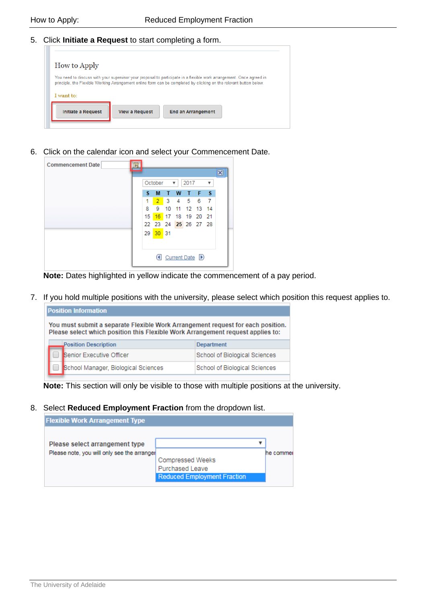#### 5. Click **Initiate a Request** to start completing a form.

| <b>How to Apply</b>                                                                                                                                                                                                                        |  |  |  |  |  |
|--------------------------------------------------------------------------------------------------------------------------------------------------------------------------------------------------------------------------------------------|--|--|--|--|--|
| You need to discuss with your supervisor your proposal to participate in a flexible work arrangement. Once agreed in<br>principle, the Flexible Working Arrangement online form can be completed by clicking on the relevant button below. |  |  |  |  |  |
| I want to:                                                                                                                                                                                                                                 |  |  |  |  |  |
| <b>Initiate a Request</b><br><b>View a Request</b><br><b>End an Arrangement</b>                                                                                                                                                            |  |  |  |  |  |
|                                                                                                                                                                                                                                            |  |  |  |  |  |

6. Click on the calendar icon and select your Commencement Date.

| <b>Commencement Date</b><br>Bt |                 |          |   |                 |      |                      |   |                         |
|--------------------------------|-----------------|----------|---|-----------------|------|----------------------|---|-------------------------|
|                                |                 |          |   |                 |      |                      |   | $\overline{\mathbf{x}}$ |
|                                |                 | October  |   | $\mathcal{R}$ : | 2017 |                      | ▼ |                         |
|                                | s               | M        | т | W               |      | T F S                |   |                         |
|                                | 1               |          |   |                 |      | 2 3 4 5 6 7          |   |                         |
|                                |                 | 8 9 10   |   |                 |      | 11 12 13 14          |   |                         |
|                                | 15 <sup>1</sup> |          |   |                 |      | 16 17 18 19 20 21    |   |                         |
|                                |                 |          |   |                 |      | 22 23 24 25 26 27 28 |   |                         |
|                                |                 | 29 30 31 |   |                 |      |                      |   |                         |
|                                |                 |          |   |                 |      |                      |   |                         |
|                                |                 |          |   |                 |      |                      |   |                         |
|                                |                 |          |   |                 |      | Current Date D       |   |                         |
|                                |                 |          |   |                 |      |                      |   |                         |

**Note:** Dates highlighted in yellow indicate the commencement of a pay period.

7. If you hold multiple positions with the university, please select which position this request applies to.

| <b>Position Information</b>                                                                                                                                        |                                     |                               |  |  |  |  |
|--------------------------------------------------------------------------------------------------------------------------------------------------------------------|-------------------------------------|-------------------------------|--|--|--|--|
| You must submit a separate Flexible Work Arrangement request for each position.<br>Please select which position this Flexible Work Arrangement request applies to: |                                     |                               |  |  |  |  |
|                                                                                                                                                                    | <b>Position Description</b>         | <b>Department</b>             |  |  |  |  |
|                                                                                                                                                                    | Senior Executive Officer            | School of Biological Sciences |  |  |  |  |
|                                                                                                                                                                    | School Manager, Biological Sciences | School of Biological Sciences |  |  |  |  |

**Note:** This section will only be visible to those with multiple positions at the university.

#### 8. Select **Reduced Employment Fraction** from the dropdown list.

| <b>Flexible Work Arrangement Type</b>                                         |                                    |          |
|-------------------------------------------------------------------------------|------------------------------------|----------|
|                                                                               |                                    |          |
| Please select arrangement type<br>Please note, you will only see the arranger |                                    | he comme |
|                                                                               | <b>Compressed Weeks</b>            |          |
|                                                                               | <b>Purchased Leave</b>             |          |
|                                                                               | <b>Reduced Employment Fraction</b> |          |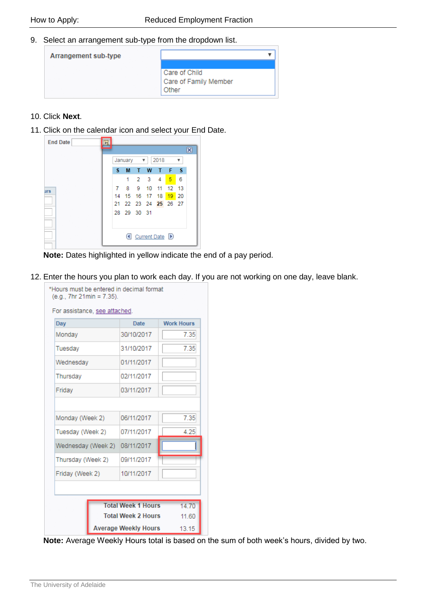9. Select an arrangement sub-type from the dropdown list.

| Arrangement sub-type |                                                 |
|----------------------|-------------------------------------------------|
|                      | Care of Child<br>Care of Family Member<br>Other |

#### 10. Click **Next**.

11. Click on the calendar icon and select your End Date.



**Note:** Dates highlighted in yellow indicate the end of a pay period.

12. Enter the hours you plan to work each day. If you are not working on one day, leave blank.



**Note:** Average Weekly Hours total is based on the sum of both week's hours, divided by two.